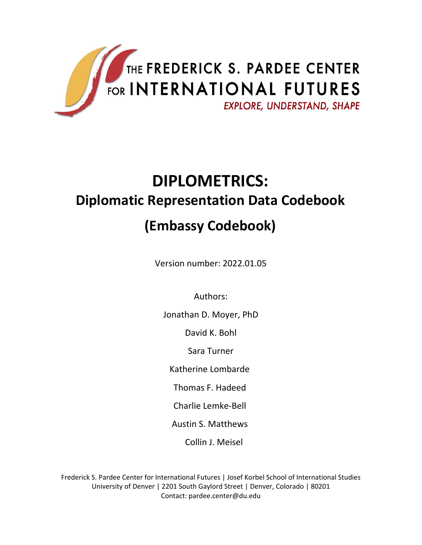

# **DIPLOMETRICS: Diplomatic Representation Data Codebook**

## **(Embassy Codebook)**

Version number: 2022.01.05

Authors:

Jonathan D. Moyer, PhD

David K. Bohl

Sara Turner

Katherine Lombarde

Thomas F. Hadeed

Charlie Lemke-Bell

Austin S. Matthews

Collin J. Meisel

Frederick S. Pardee Center for International Futures | Josef Korbel School of International Studies University of Denver | 2201 South Gaylord Street | Denver, Colorado | 80201 Contact: [pardee.center@du.edu](mailto:pardee.center@du.edu)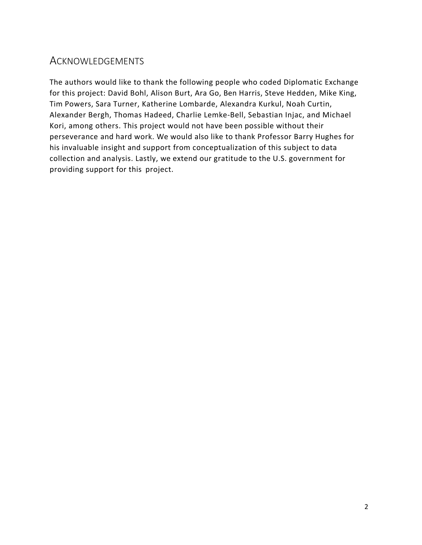### **ACKNOWLEDGEMENTS**

The authors would like to thank the following people who coded Diplomatic Exchange for this project: David Bohl, Alison Burt, Ara Go, Ben Harris, Steve Hedden, Mike King, Tim Powers, Sara Turner, Katherine Lombarde, Alexandra Kurkul, Noah Curtin, Alexander Bergh, Thomas Hadeed, Charlie Lemke-Bell, Sebastian Injac, and Michael Kori, among others. This project would not have been possible without their perseverance and hard work. We would also like to thank Professor Barry Hughes for his invaluable insight and support from conceptualization of this subject to data collection and analysis. Lastly, we extend our gratitude to the U.S. government for providing support for this project.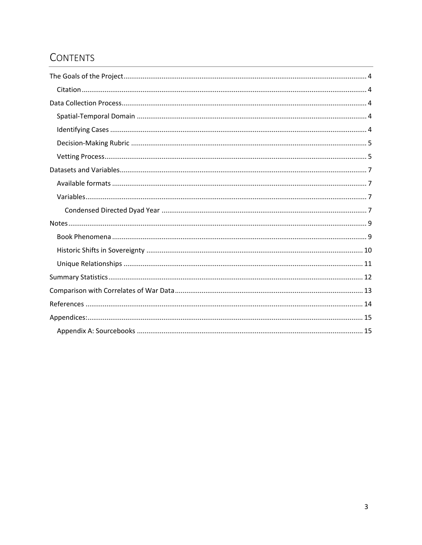### **CONTENTS**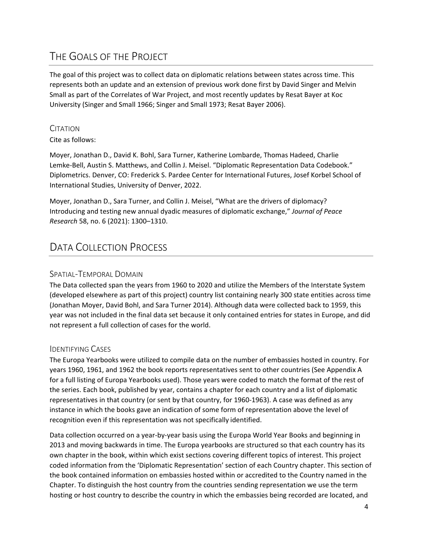### <span id="page-3-0"></span>THE GOALS OF THE PROJECT

The goal of this project was to collect data on diplomatic relations between states across time. This represents both an update and an extension of previous work done first by David Singer and Melvin Small as part of the Correlates of War Project, and most recently updates by Resat Bayer at Koc University (Singer and Small 1966; Singer and Small 1973; Resat Bayer 2006).

#### <span id="page-3-1"></span>**CITATION**

Cite as follows:

Moyer, Jonathan D., David K. Bohl, Sara Turner, Katherine Lombarde, Thomas Hadeed, Charlie Lemke-Bell, Austin S. Matthews, and Collin J. Meisel. "Diplomatic Representation Data Codebook." Diplometrics. Denver, CO: Frederick S. Pardee Center for International Futures, Josef Korbel School of International Studies, University of Denver, 2022.

Moyer, Jonathan D., Sara Turner, and Collin J. Meisel, "What are the drivers of diplomacy? Introducing and testing new annual dyadic measures of diplomatic exchange," *Journal of Peace Research* 58, no. 6 (2021): 1300–1310.

### <span id="page-3-2"></span>DATA COLLECTION PROCESS

#### <span id="page-3-3"></span>SPATIAL-TEMPORAL DOMAIN

The Data collected span the years from 1960 to 2020 and utilize the Members of the Interstate System (developed elsewhere as part of this project) country list containing nearly 300 state entities across time (Jonathan Moyer, David Bohl, and Sara Turner 2014). Although data were collected back to 1959, this year was not included in the final data set because it only contained entries for states in Europe, and did not represent a full collection of cases for the world.

#### <span id="page-3-4"></span>IDENTIFYING CASES

The Europa Yearbooks were utilized to compile data on the number of embassies hosted in country. For years 1960, 1961, and 1962 the book reports representatives sent to other countries (See Appendix A for a full listing of Europa Yearbooks used). Those years were coded to match the format of the rest of the series. Each book, published by year, contains a chapter for each country and a list of diplomatic representatives in that country (or sent by that country, for 1960-1963). A case was defined as any instance in which the books gave an indication of some form of representation above the level of recognition even if this representation was not specifically identified.

Data collection occurred on a year-by-year basis using the Europa World Year Books and beginning in 2013 and moving backwards in time. The Europa yearbooks are structured so that each country has its own chapter in the book, within which exist sections covering different topics of interest. This project coded information from the 'Diplomatic Representation' section of each Country chapter. This section of the book contained information on embassies hosted within or accredited to the Country named in the Chapter. To distinguish the host country from the countries sending representation we use the term hosting or host country to describe the country in which the embassies being recorded are located, and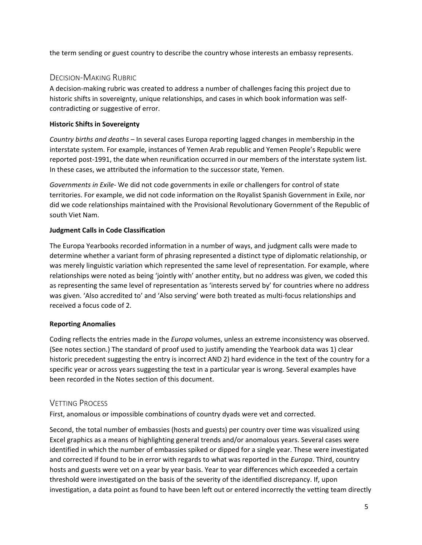the term sending or guest country to describe the country whose interests an embassy represents.

#### <span id="page-4-0"></span>DECISION-MAKING RUBRIC

A decision-making rubric was created to address a number of challenges facing this project due to historic shifts in sovereignty, unique relationships, and cases in which book information was selfcontradicting or suggestive of error.

#### **Historic Shifts in Sovereignty**

*Country births and deaths* – In several cases Europa reporting lagged changes in membership in the interstate system. For example, instances of Yemen Arab republic and Yemen People's Republic were reported post-1991, the date when reunification occurred in our members of the interstate system list. In these cases, we attributed the information to the successor state, Yemen.

*Governments in Exile*- We did not code governments in exile or challengers for control of state territories. For example, we did not code information on the Royalist Spanish Government in Exile, nor did we code relationships maintained with the Provisional Revolutionary Government of the Republic of south Viet Nam.

#### **Judgment Calls in Code Classification**

The Europa Yearbooks recorded information in a number of ways, and judgment calls were made to determine whether a variant form of phrasing represented a distinct type of diplomatic relationship, or was merely linguistic variation which represented the same level of representation. For example, where relationships were noted as being 'jointly with' another entity, but no address was given, we coded this as representing the same level of representation as 'interests served by' for countries where no address was given. 'Also accredited to' and 'Also serving' were both treated as multi-focus relationships and received a focus code of 2.

#### **Reporting Anomalies**

Coding reflects the entries made in the *Europa* volumes, unless an extreme inconsistency was observed. (See notes section.) The standard of proof used to justify amending the Yearbook data was 1) clear historic precedent suggesting the entry is incorrect AND 2) hard evidence in the text of the country for a specific year or across years suggesting the text in a particular year is wrong. Several examples have been recorded in the Notes section of this document.

#### <span id="page-4-1"></span>VETTING PROCESS

First, anomalous or impossible combinations of country dyads were vet and corrected.

Second, the total number of embassies (hosts and guests) per country over time was visualized using Excel graphics as a means of highlighting general trends and/or anomalous years. Several cases were identified in which the number of embassies spiked or dipped for a single year. These were investigated and corrected if found to be in error with regards to what was reported in the *Europa*. Third, country hosts and guests were vet on a year by year basis. Year to year differences which exceeded a certain threshold were investigated on the basis of the severity of the identified discrepancy. If, upon investigation, a data point as found to have been left out or entered incorrectly the vetting team directly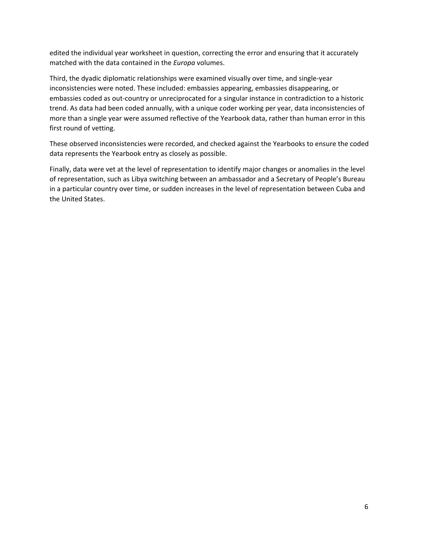edited the individual year worksheet in question, correcting the error and ensuring that it accurately matched with the data contained in the *Europa* volumes.

Third, the dyadic diplomatic relationships were examined visually over time, and single-year inconsistencies were noted. These included: embassies appearing, embassies disappearing, or embassies coded as out-country or unreciprocated for a singular instance in contradiction to a historic trend. As data had been coded annually, with a unique coder working per year, data inconsistencies of more than a single year were assumed reflective of the Yearbook data, rather than human error in this first round of vetting.

These observed inconsistencies were recorded, and checked against the Yearbooks to ensure the coded data represents the Yearbook entry as closely as possible.

Finally, data were vet at the level of representation to identify major changes or anomalies in the level of representation, such as Libya switching between an ambassador and a Secretary of People's Bureau in a particular country over time, or sudden increases in the level of representation between Cuba and the United States.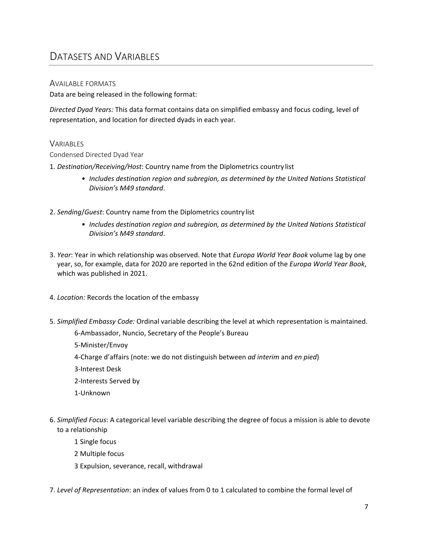### <span id="page-6-0"></span>DATASETS AND VARIABLES

#### <span id="page-6-1"></span>AVAILABLE FORMATS

Data are being released in the following format:

*Directed Dyad Years:* This data format contains data on simplified embassy and focus coding, level of representation, and location for directed dyads in each year.

#### <span id="page-6-2"></span>**VARIABLES**

#### <span id="page-6-3"></span>Condensed Directed Dyad Year

- 1. *Destination/Receiving/Host*: Country name from the Diplometrics country list
	- *Includes destination region and subregion, as determined by the United Nations Statistical Division's M49 standard*.
- 2. *Sending*/*Guest*: Country name from the Diplometrics country list
	- *Includes destination region and subregion, as determined by the United Nations Statistical Division's M49 standard*.
- 3. *Year*: Year in which relationship was observed. Note that *Europa World Year Book* volume lag by one year, so, for example, data for 2020 are reported in the 62nd edition of the *Europa World Year Book*, which was published in 2021.
- 4. *Location:* Records the location of the embassy
- 5. *Simplified Embassy Code:* Ordinal variable describing the level at which representation is maintained.

6-Ambassador, Nuncio, Secretary of the People's Bureau

- 5-Minister/Envoy
- 4-Charge d'affairs (note: we do not distinguish between *ad interim* and *en pied*)
- 3-Interest Desk
- 2-Interests Served by
- 1-Unknown
- 6. *Simplified Focus*: A categorical level variable describing the degree of focus a mission is able to devote to a relationship
	- 1 Single focus
	- 2 Multiple focus
	- 3 Expulsion, severance, recall, withdrawal
- 7. *Level of Representation*: an index of values from 0 to 1 calculated to combine the formal level of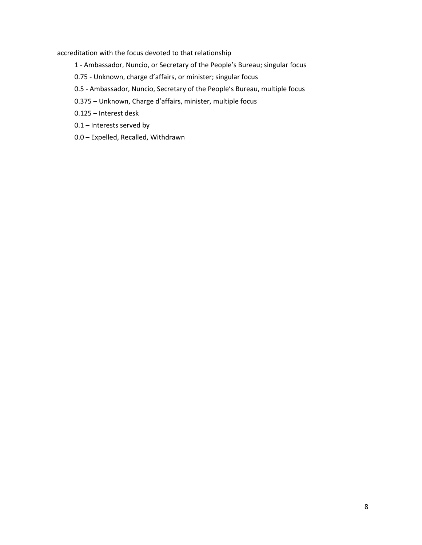accreditation with the focus devoted to that relationship

- 1 Ambassador, Nuncio, or Secretary of the People's Bureau; singular focus
- 0.75 Unknown, charge d'affairs, or minister; singular focus
- 0.5 Ambassador, Nuncio, Secretary of the People's Bureau, multiple focus
- 0.375 Unknown, Charge d'affairs, minister, multiple focus

0.125 – Interest desk

- 0.1 Interests served by
- 0.0 Expelled, Recalled, Withdrawn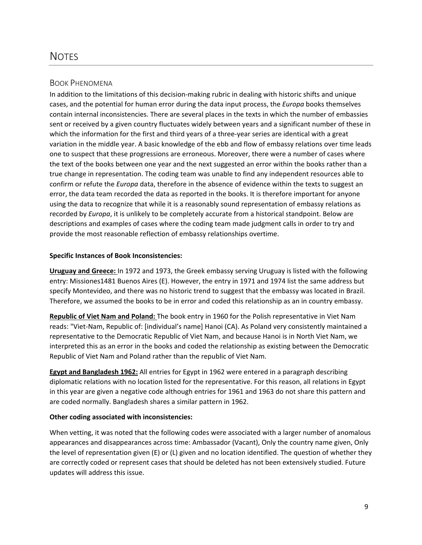#### <span id="page-8-1"></span><span id="page-8-0"></span>BOOK PHENOMENA

In addition to the limitations of this decision-making rubric in dealing with historic shifts and unique cases, and the potential for human error during the data input process, the *Europa* books themselves contain internal inconsistencies. There are several places in the texts in which the number of embassies sent or received by a given country fluctuates widely between years and a significant number of these in which the information for the first and third years of a three-year series are identical with a great variation in the middle year. A basic knowledge of the ebb and flow of embassy relations over time leads one to suspect that these progressions are erroneous. Moreover, there were a number of cases where the text of the books between one year and the next suggested an error within the books rather than a true change in representation. The coding team was unable to find any independent resources able to confirm or refute the *Europa* data, therefore in the absence of evidence within the texts to suggest an error, the data team recorded the data as reported in the books. It is therefore important for anyone using the data to recognize that while it is a reasonably sound representation of embassy relations as recorded by *Europa*, it is unlikely to be completely accurate from a historical standpoint. Below are descriptions and examples of cases where the coding team made judgment calls in order to try and provide the most reasonable reflection of embassy relationships overtime.

#### **Specific Instances of Book Inconsistencies:**

**Uruguay and Greece:** In 1972 and 1973, the Greek embassy serving Uruguay is listed with the following entry: Missiones1481 Buenos Aires (E). However, the entry in 1971 and 1974 list the same address but specify Montevideo, and there was no historic trend to suggest that the embassy was located in Brazil. Therefore, we assumed the books to be in error and coded this relationship as an in country embassy.

**Republic of Viet Nam and Poland:** The book entry in 1960 for the Polish representative in Viet Nam reads: "Viet-Nam, Republic of: [individual's name] Hanoi (CA). As Poland very consistently maintained a representative to the Democratic Republic of Viet Nam, and because Hanoi is in North Viet Nam, we interpreted this as an error in the books and coded the relationship as existing between the Democratic Republic of Viet Nam and Poland rather than the republic of Viet Nam.

**Egypt and Bangladesh 1962:** All entries for Egypt in 1962 were entered in a paragraph describing diplomatic relations with no location listed for the representative. For this reason, all relations in Egypt in this year are given a negative code although entries for 1961 and 1963 do not share this pattern and are coded normally. Bangladesh shares a similar pattern in 1962.

#### **Other coding associated with inconsistencies:**

When vetting, it was noted that the following codes were associated with a larger number of anomalous appearances and disappearances across time: Ambassador (Vacant), Only the country name given, Only the level of representation given (E) or (L) given and no location identified. The question of whether they are correctly coded or represent cases that should be deleted has not been extensively studied. Future updates will address this issue.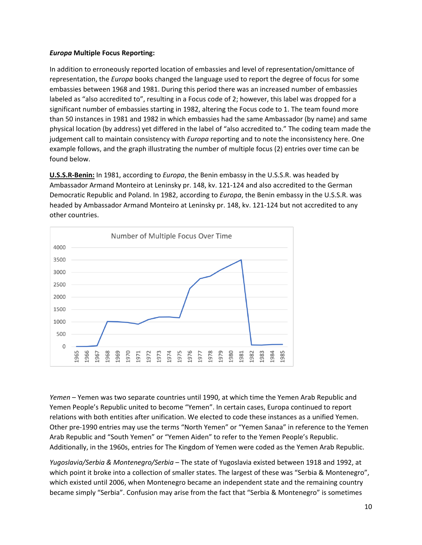#### *Europa* **Multiple Focus Reporting:**

In addition to erroneously reported location of embassies and level of representation/omittance of representation, the *Europa* books changed the language used to report the degree of focus for some embassies between 1968 and 1981. During this period there was an increased number of embassies labeled as "also accredited to", resulting in a Focus code of 2; however, this label was dropped for a significant number of embassies starting in 1982, altering the Focus code to 1. The team found more than 50 instances in 1981 and 1982 in which embassies had the same Ambassador (by name) and same physical location (by address) yet differed in the label of "also accredited to." The coding team made the judgement call to maintain consistency with *Europa* reporting and to note the inconsistency here. One example follows, and the graph illustrating the number of multiple focus (2) entries over time can be found below.

**U.S.S.R-Benin:** In 1981, according to *Europa*, the Benin embassy in the U.S.S.R. was headed by Ambassador Armand Monteiro at Leninsky pr. 148, kv. 121-124 and also accredited to the German Democratic Republic and Poland. In 1982, according to *Europa*, the Benin embassy in the U.S.S.R. was headed by Ambassador Armand Monteiro at Leninsky pr. 148, kv. 121-124 but not accredited to any other countries.



<span id="page-9-0"></span>*Yemen* – Yemen was two separate countries until 1990, at which time the Yemen Arab Republic and Yemen People's Republic united to become "Yemen". In certain cases, Europa continued to report relations with both entities after unification. We elected to code these instances as a unified Yemen. Other pre-1990 entries may use the terms "North Yemen" or "Yemen Sanaa" in reference to the Yemen Arab Republic and "South Yemen" or "Yemen Aiden" to refer to the Yemen People's Republic. Additionally, in the 1960s, entries for The Kingdom of Yemen were coded as the Yemen Arab Republic.

*Yugoslavia/Serbia & Montenegro/Serbia* – The state of Yugoslavia existed between 1918 and 1992, at which point it broke into a collection of smaller states. The largest of these was "Serbia & Montenegro", which existed until 2006, when Montenegro became an independent state and the remaining country became simply "Serbia". Confusion may arise from the fact that "Serbia & Montenegro" is sometimes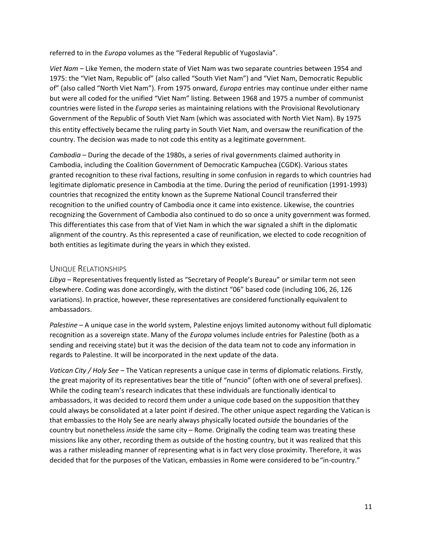referred to in the *Europa* volumes as the "Federal Republic of Yugoslavia".

*Viet Nam* – Like Yemen, the modern state of Viet Nam was two separate countries between 1954 and 1975: the "Viet Nam, Republic of" (also called "South Viet Nam") and "Viet Nam, Democratic Republic of" (also called "North Viet Nam"). From 1975 onward, *Europa* entries may continue under either name but were all coded for the unified "Viet Nam" listing. Between 1968 and 1975 a number of communist countries were listed in the *Europa* series as maintaining relations with the Provisional Revolutionary Government of the Republic of South Viet Nam (which was associated with North Viet Nam). By 1975 this entity effectively became the ruling party in South Viet Nam, and oversaw the reunification of the country. The decision was made to not code this entity as a legitimate government.

*Cambodia* – During the decade of the 1980s, a series of rival governments claimed authority in Cambodia, including the Coalition Government of Democratic Kampuchea (CGDK). Various states granted recognition to these rival factions, resulting in some confusion in regards to which countries had legitimate diplomatic presence in Cambodia at the time. During the period of reunification (1991-1993) countries that recognized the entity known as the Supreme National Council transferred their recognition to the unified country of Cambodia once it came into existence. Likewise, the countries recognizing the Government of Cambodia also continued to do so once a unity government was formed. This differentiates this case from that of Viet Nam in which the war signaled a shift in the diplomatic alignment of the country. As this represented a case of reunification, we elected to code recognition of both entities as legitimate during the years in which they existed.

#### <span id="page-10-0"></span>UNIQUE RELATIONSHIPS

*Libya* – Representatives frequently listed as "Secretary of People's Bureau" or similar term not seen elsewhere. Coding was done accordingly, with the distinct "06" based code (including 106, 26, 126 variations). In practice, however, these representatives are considered functionally equivalent to ambassadors.

*Palestine* – A unique case in the world system, Palestine enjoys limited autonomy without full diplomatic recognition as a sovereign state. Many of the *Europa* volumes include entries for Palestine (both as a sending and receiving state) but it was the decision of the data team not to code any information in regards to Palestine. It will be incorporated in the next update of the data.

*Vatican City / Holy See* – The Vatican represents a unique case in terms of diplomatic relations. Firstly, the great majority of its representatives bear the title of "nuncio" (often with one of several prefixes). While the coding team's research indicates that these individuals are functionally identical to ambassadors, it was decided to record them under a unique code based on the supposition thatthey could always be consolidated at a later point if desired. The other unique aspect regarding the Vatican is that embassies to the Holy See are nearly always physically located *outside* the boundaries of the country but nonetheless *inside* the same city – Rome. Originally the coding team was treating these missions like any other, recording them as outside of the hosting country, but it was realized that this was a rather misleading manner of representing what is in fact very close proximity. Therefore, it was decided that for the purposes of the Vatican, embassies in Rome were considered to be "in-country."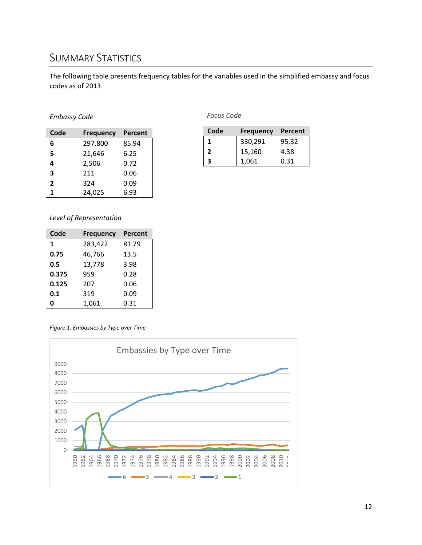### <span id="page-11-0"></span>SUMMARY STATISTICS

The following table presents frequency tables for the variables used in the simplified embassy and focus codes as of 2013.

#### *Embassy Code*

| Code           | <b>Frequency</b> | Percent |  |
|----------------|------------------|---------|--|
| 6              | 297,800          | 85.94   |  |
| 5              | 21,646           | 6.25    |  |
| 4              | 2,506            | 0.72    |  |
| 3              | 211              | 0.06    |  |
| $\overline{2}$ | 324              | 0.09    |  |
| 1              | 24,025           | 6.93    |  |

*Focus Code*

| Code | <b>Frequency</b> | Percent |
|------|------------------|---------|
| 1    | 330,291          | 95.32   |
| 2    | 15,160           | 4.38    |
|      | 1,061            | 0.31    |

#### *Level of Representation*

| Code  | <b>Frequency</b> | Percent |
|-------|------------------|---------|
| 1     | 283,422          | 81.79   |
| 0.75  | 46,766           | 13.5    |
| 0.5   | 13,778           | 3.98    |
| 0.375 | 959              | 0.28    |
| 0.125 | 207              | 0.06    |
| 0.1   | 319              | 0.09    |
|       | 1,061            | 0.31    |

*Figure 1: Embassies by Type over Time*

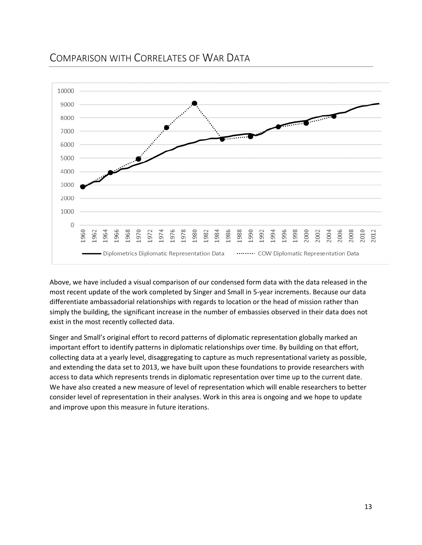### <span id="page-12-0"></span>COMPARISON WITH CORRELATES OF WAR DATA



Above, we have included a visual comparison of our condensed form data with the data released in the most recent update of the work completed by Singer and Small in 5-year increments. Because our data differentiate ambassadorial relationships with regards to location or the head of mission rather than simply the building, the significant increase in the number of embassies observed in their data does not exist in the most recently collected data.

Singer and Small's original effort to record patterns of diplomatic representation globally marked an important effort to identify patterns in diplomatic relationships over time. By building on that effort, collecting data at a yearly level, disaggregating to capture as much representational variety as possible, and extending the data set to 2013, we have built upon these foundations to provide researchers with access to data which represents trends in diplomatic representation over time up to the current date. We have also created a new measure of level of representation which will enable researchers to better consider level of representation in their analyses. Work in this area is ongoing and we hope to update and improve upon this measure in future iterations.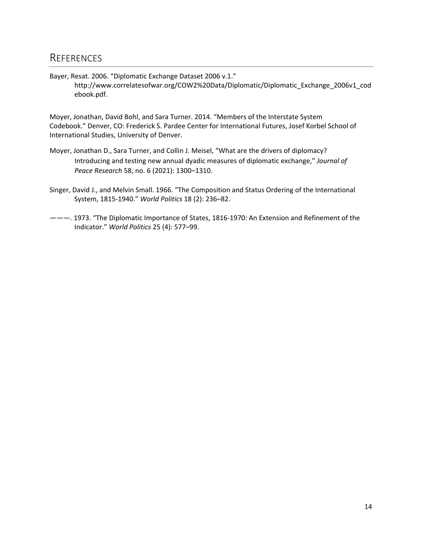### <span id="page-13-0"></span>**REFERENCES**

Bayer, Resat. 2006. "Diplomatic Exchange Dataset 2006 v.1." [http://www.correlatesofwar.org/COW2%20Data/Diplomatic/Diplomatic\\_Exchange\\_2006v1\\_cod](http://www.correlatesofwar.org/COW2%20Data/Diplomatic/Diplomatic_Exchange_2006v1_cod) ebook.pdf.

Moyer, Jonathan, David Bohl, and Sara Turner. 2014. "Members of the Interstate System Codebook." Denver, CO: Frederick S. Pardee Center for International Futures, Josef Korbel School of International Studies, University of Denver.

- Moyer, Jonathan D., Sara Turner, and Collin J. Meisel, "What are the drivers of diplomacy? Introducing and testing new annual dyadic measures of diplomatic exchange," *Journal of Peace Research* 58, no. 6 (2021): 1300–1310.
- Singer, David J., and Melvin Small. 1966. "The Composition and Status Ordering of the International System, 1815-1940." *World Politics* 18 (2): 236–82.
- ———. 1973. "The Diplomatic Importance of States, 1816-1970: An Extension and Refinement of the Indicator." *World Politics* 25 (4): 577–99.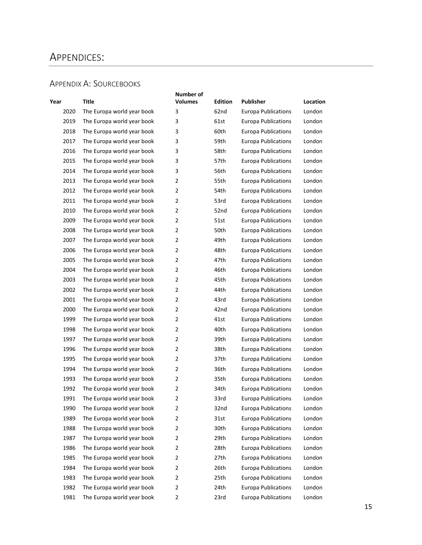### <span id="page-14-0"></span>APPENDICES:

#### <span id="page-14-1"></span>APPENDIX A: SOURCEBOOKS

| Year | Title                      | Number of<br><b>Volumes</b> | Edition | <b>Publisher</b>           | Location |
|------|----------------------------|-----------------------------|---------|----------------------------|----------|
| 2020 | The Europa world year book | 3                           | 62nd    | Europa Publications        | London   |
| 2019 | The Europa world year book | 3                           | 61st    | <b>Europa Publications</b> | London   |
| 2018 | The Europa world year book | 3                           | 60th    | <b>Europa Publications</b> | London   |
| 2017 | The Europa world year book | 3                           | 59th    | Europa Publications        | London   |
| 2016 | The Europa world year book | 3                           | 58th    | <b>Europa Publications</b> | London   |
| 2015 | The Europa world year book | 3                           | 57th    | <b>Europa Publications</b> | London   |
| 2014 | The Europa world year book | 3                           | 56th    | <b>Europa Publications</b> | London   |
| 2013 | The Europa world year book | 2                           | 55th    | <b>Europa Publications</b> | London   |
| 2012 | The Europa world year book | $\overline{2}$              | 54th    | <b>Europa Publications</b> | London   |
| 2011 | The Europa world year book | $\overline{2}$              | 53rd    | <b>Europa Publications</b> | London   |
| 2010 | The Europa world year book | 2                           | 52nd    | <b>Europa Publications</b> | London   |
| 2009 | The Europa world year book | $\overline{2}$              | 51st    | <b>Europa Publications</b> | London   |
| 2008 | The Europa world year book | 2                           | 50th    | <b>Europa Publications</b> | London   |
| 2007 | The Europa world year book | $\overline{2}$              | 49th    | <b>Europa Publications</b> | London   |
| 2006 | The Europa world year book | $\overline{2}$              | 48th    | <b>Europa Publications</b> | London   |
| 2005 | The Europa world year book | 2                           | 47th    | <b>Europa Publications</b> | London   |
| 2004 | The Europa world year book | $\overline{2}$              | 46th    | <b>Europa Publications</b> | London   |
| 2003 | The Europa world year book | 2                           | 45th    | <b>Europa Publications</b> | London   |
| 2002 | The Europa world year book | $\overline{2}$              | 44th    | <b>Europa Publications</b> | London   |
| 2001 | The Europa world year book | 2                           | 43rd    | Europa Publications        | London   |
| 2000 | The Europa world year book | 2                           | 42nd    | <b>Europa Publications</b> | London   |
| 1999 | The Europa world year book | $\overline{2}$              | 41st    | <b>Europa Publications</b> | London   |
| 1998 | The Europa world year book | 2                           | 40th    | <b>Europa Publications</b> | London   |
| 1997 | The Europa world year book | 2                           | 39th    | <b>Europa Publications</b> | London   |
| 1996 | The Europa world year book | $\overline{2}$              | 38th    | <b>Europa Publications</b> | London   |
| 1995 | The Europa world year book | 2                           | 37th    | <b>Europa Publications</b> | London   |
| 1994 | The Europa world year book | 2                           | 36th    | <b>Europa Publications</b> | London   |
| 1993 | The Europa world year book | 2                           | 35th    | <b>Europa Publications</b> | London   |
| 1992 | The Europa world year book | $\overline{2}$              | 34th    | Europa Publications        | London   |
| 1991 | The Europa world year book | 2                           | 33rd    | <b>Europa Publications</b> | London   |
| 1990 | The Europa world year book | 2                           | 32nd    | Europa Publications        | London   |
| 1989 | The Europa world year book | 2                           | 31st    | <b>Europa Publications</b> | London   |
| 1988 | The Europa world year book | $\overline{2}$              | 30th    | <b>Europa Publications</b> | London   |
| 1987 | The Europa world year book | 2                           | 29th    | <b>Europa Publications</b> | London   |
| 1986 | The Europa world year book | 2                           | 28th    | <b>Europa Publications</b> | London   |
| 1985 | The Europa world year book | $\overline{2}$              | 27th    | <b>Europa Publications</b> | London   |
| 1984 | The Europa world year book | 2                           | 26th    | <b>Europa Publications</b> | London   |
| 1983 | The Europa world year book | 2                           | 25th    | <b>Europa Publications</b> | London   |
| 1982 | The Europa world year book | 2                           | 24th    | <b>Europa Publications</b> | London   |
| 1981 | The Europa world year book | 2                           | 23rd    | <b>Europa Publications</b> | London   |
|      |                            |                             |         |                            |          |